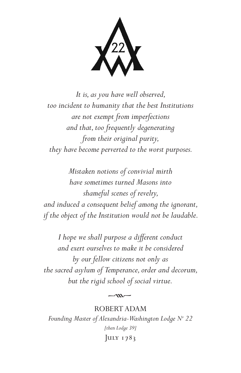$\chi^{22}$ 

*It is, as you have well observed, too incident to humanity that the best Institutions are not exempt from imperfections and that, too frequently degenerating from their original purity, they have become perverted to the worst purposes.*

*Mistaken notions of convivial mirth have sometimes turned Masons into shameful scenes of revelry, and induced a consequent belief among the ignorant, if the object of the Institution would not be laudable.* 

*I hope we shall purpose a different conduct and exert ourselves to make it be considered by our fellow citizens not only as the sacred asylum of Temperance, order and decorum, but the rigid school of social virtue.*

ROBERT ADAM *Founding Master of Alexandria-Washington Lodge No 22 [then Lodge 39]* JULY 1783

 $-m-$